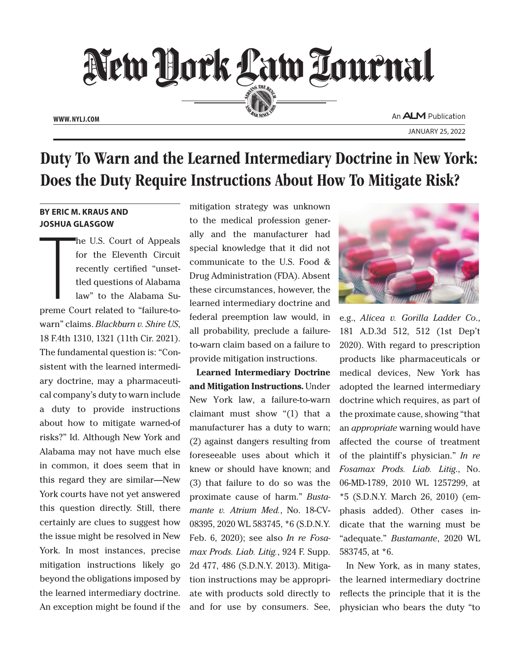

JANUARY 25, 2022

## Duty To Warn and the Learned Intermediary Doctrine in New York: Does the Duty Require Instructions About How To Mitigate Risk?

## **BY ERIC M. KRAUS AND JOSHUA GLASGOW**

ST ENCE M<br>JOSHUA C he U.S. Court of Appeals for the Eleventh Circuit recently certified "unsettled questions of Alabama law" to the Alabama Supreme Court related to "failure-towarn" claims. *Blackburn v. Shire US*, 18 F.4th 1310, 1321 (11th Cir. 2021). The fundamental question is: "Consistent with the learned intermediary doctrine, may a pharmaceutical company's duty to warn include a duty to provide instructions about how to mitigate warned-of risks?" Id. Although New York and Alabama may not have much else in common, it does seem that in this regard they are similar—New York courts have not yet answered this question directly. Still, there certainly are clues to suggest how the issue might be resolved in New York. In most instances, precise mitigation instructions likely go beyond the obligations imposed by the learned intermediary doctrine. An exception might be found if the

mitigation strategy was unknown to the medical profession generally and the manufacturer had special knowledge that it did not communicate to the U.S. Food & Drug Administration (FDA). Absent these circumstances, however, the learned intermediary doctrine and federal preemption law would, in all probability, preclude a failureto-warn claim based on a failure to provide mitigation instructions.

**Learned Intermediary Doctrine and Mitigation Instructions.** Under New York law, a failure-to-warn claimant must show "(1) that a manufacturer has a duty to warn; (2) against dangers resulting from foreseeable uses about which it knew or should have known; and (3) that failure to do so was the proximate cause of harm." *Bustamante v. Atrium Med.*, No. 18-CV-08395, 2020 WL 583745, \*6 (S.D.N.Y. Feb. 6, 2020); see also *In re Fosamax Prods. Liab. Litig.*, 924 F. Supp. 2d 477, 486 (S.D.N.Y. 2013). Mitigation instructions may be appropriate with products sold directly to and for use by consumers. See,



e.g., *Alicea v. Gorilla Ladder Co*., 181 A.D.3d 512, 512 (1st Dep't 2020). With regard to prescription products like pharmaceuticals or medical devices, New York has adopted the learned intermediary doctrine which requires, as part of the proximate cause, showing "that an *appropriate* warning would have affected the course of treatment of the plaintiff's physician." *In re Fosamax Prods. Liab. Litig*., No. 06-MD-1789, 2010 WL 1257299, at \*5 (S.D.N.Y. March 26, 2010) (emphasis added). Other cases indicate that the warning must be "adequate." *Bustamante*, 2020 WL 583745, at \*6.

In New York, as in many states, the learned intermediary doctrine reflects the principle that it is the physician who bears the duty "to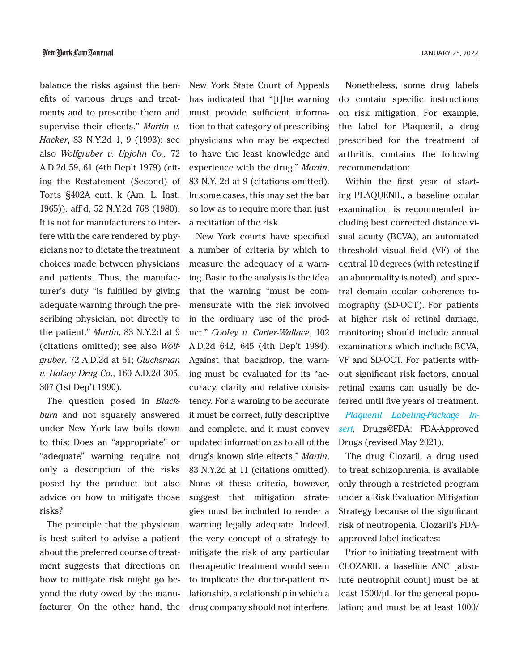balance the risks against the benefits of various drugs and treatments and to prescribe them and supervise their effects." *Martin v. Hacker*, 83 N.Y.2d 1, 9 (1993); see also *Wolfgruber v. Upjohn Co.,*  72 A.D.2d 59, 61 (4th Dep't 1979) (citing the Restatement (Second) of Torts §402A cmt. k (Am. L. Inst. 1965)), aff'd, 52 N.Y.2d 768 (1980). It is not for manufacturers to interfere with the care rendered by physicians nor to dictate the treatment choices made between physicians and patients. Thus, the manufacturer's duty "is fulfilled by giving adequate warning through the prescribing physician, not directly to the patient." *Martin*, 83 N.Y.2d at 9 (citations omitted); see also *Wolfgruber*, 72 A.D.2d at 61; *Glucksman v. Halsey Drug Co*., 160 A.D.2d 305, 307 (1st Dep't 1990).

The question posed in *Blackburn* and not squarely answered under New York law boils down to this: Does an "appropriate" or "adequate" warning require not only a description of the risks posed by the product but also advice on how to mitigate those risks?

The principle that the physician is best suited to advise a patient about the preferred course of treatment suggests that directions on how to mitigate risk might go beyond the duty owed by the manufacturer. On the other hand, the New York State Court of Appeals has indicated that "[t]he warning must provide sufficient information to that category of prescribing physicians who may be expected to have the least knowledge and experience with the drug." *Martin*, 83 N.Y. 2d at 9 (citations omitted). In some cases, this may set the bar so low as to require more than just a recitation of the risk.

New York courts have specified a number of criteria by which to measure the adequacy of a warning. Basic to the analysis is the idea that the warning "must be commensurate with the risk involved in the ordinary use of the product." *Cooley v. Carter-Wallace*, 102 A.D.2d 642, 645 (4th Dep't 1984). Against that backdrop, the warning must be evaluated for its "accuracy, clarity and relative consistency. For a warning to be accurate it must be correct, fully descriptive and complete, and it must convey updated information as to all of the drug's known side effects." *Martin*, 83 N.Y.2d at 11 (citations omitted). None of these criteria, however, suggest that mitigation strategies must be included to render a warning legally adequate. Indeed, the very concept of a strategy to mitigate the risk of any particular therapeutic treatment would seem to implicate the doctor-patient relationship, a relationship in which a drug company should not interfere.

Nonetheless, some drug labels do contain specific instructions on risk mitigation. For example, the label for Plaquenil, a drug prescribed for the treatment of arthritis, contains the following recommendation:

Within the first year of starting PLAQUENIL, a baseline ocular examination is recommended including best corrected distance visual acuity (BCVA), an automated threshold visual field (VF) of the central 10 degrees (with retesting if an abnormality is noted), and spectral domain ocular coherence tomography (SD-OCT). For patients at higher risk of retinal damage, monitoring should include annual examinations which include BCVA, VF and SD-OCT. For patients without significant risk factors, annual retinal exams can usually be deferred until five years of treatment.

*Plaquenil Labeling-Package Insert*, Drugs@FDA: FDA-Approved Drugs (revised May 2021).

The drug Clozaril, a drug used to treat schizophrenia, is available only through a restricted program under a Risk Evaluation Mitigation Strategy because of the significant risk of neutropenia. Clozaril's FDAapproved label indicates:

Prior to initiating treatment with CLOZARIL a baseline ANC [absolute neutrophil count] must be at least 1500/μL for the general population; and must be at least 1000/